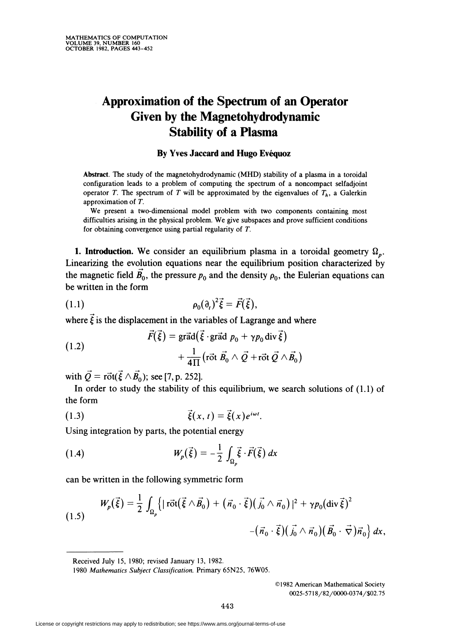## Approximation of the Spectrum of an Operator Given by the Magnetohydrodynamic Stability of a Plasma

## By Yves Jaccard and Hugo Evéquoz

Abstract. The study of the magnetohydrodynamic (MHD) stability of a plasma in a toroidal configuration leads to a problem of computing the spectrum of a noncompact selfadjoint operator T. The spectrum of T will be approximated by the eigenvalues of  $T<sub>h</sub>$ , a Galerkin approximation of T.

We present a two-dimensional model problem with two components containing most difficulties arising in the physical problem. We give subspaces and prove sufficient conditions for obtaining convergence using partial regularity of T.

1. Introduction. We consider an equilibrium plasma in a toroidal geometry  $\Omega_n$ . Linearizing the evolution equations near the equilibrium position characterized by the magnetic field  $\vec{B}_0$ , the pressure  $p_0$  and the density  $\rho_0$ , the Eulerian equations can be written in the form

$$
\rho_0(\partial_t)^2 \vec{\xi} = \vec{F}(\vec{\xi}),
$$

where  $\vec{\xi}$  is the displacement in the variables of Lagrange and where

(1.2)  

$$
\vec{F}(\vec{\xi}) = \text{grad}(\vec{\xi} \cdot \text{grad } p_0 + \gamma p_0 \text{ div } \vec{\xi}) + \frac{1}{4\Pi} (\text{rot } \vec{B_0} \wedge \vec{Q} + \text{rot } \vec{Q} \wedge \vec{B_0})
$$

with  $\vec{Q} = \vec{\text{rot}}(\vec{\xi} \wedge \vec{B_0})$ ; see [7, p. 252].

In order to study the stability of this equilibrium, we search solutions of (1.1) of the form

$$
\vec{\xi}(x,t)=\vec{\xi}(x)e^{i\omega t}.
$$

Using integration by parts, the potential energy

(1.4) 
$$
W_p(\vec{\xi}) = -\frac{1}{2} \int_{\Omega_p} \vec{\xi} \cdot \vec{F}(\vec{\xi}) dx
$$

can be written in the following symmetric form

(1.5)  

$$
W_p(\vec{\xi}) = \frac{1}{2} \int_{\Omega_p} \left\{ |\vec{rot}(\vec{\xi} \wedge \vec{B_0}) + (\vec{n}_0 \cdot \vec{\xi}) (\vec{j_0} \wedge \vec{n}_0) |^2 + \gamma p_0 (\text{div } \vec{\xi})^2 - (\vec{n}_0 \cdot \vec{\xi}) (\vec{j_0} \wedge \vec{n}_0) (\vec{B_0} \cdot \vec{\nabla}) \vec{n}_0 \right\} dx,
$$

Received July 15, 1980; revised January 13, 1982.

© 1982 American Mathematical Society O025-5718/82/O0O0-0374/\$02.75

<sup>1980</sup> Mathematics Subject Classification. Primary 65N25, 76W05.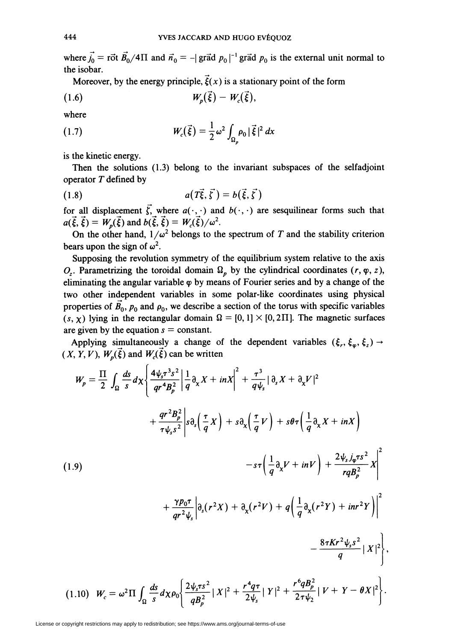where  $\vec{J}_0 =$  rot  $\vec{B}_0$ /4 $\Pi$  and  $\vec{n}_0 = -|\text{grad } p_0|^{-1}$  grad  $p_0$  is the external unit normal to the isobar.

Moreover, by the energy principle,  $\vec{\xi}(x)$  is a stationary point of the form

$$
(1.6) \t\t\t W_p(\vec{\xi}) - W_c(\vec{\xi})
$$

where

(1.7) 
$$
W_c(\vec{\xi}) = \frac{1}{2} \omega^2 \int_{\Omega_\rho} \rho_0 |\vec{\xi}|^2 dx
$$

is the kinetic energy.

Then the solutions (1.3) belong to the invariant subspaces of the selfadjoint operator T defined by

$$
(1.8) \t a(T\vec{\xi},\vec{\zeta})=b(\vec{\xi},\vec{\zeta})
$$

for all displacement  $\vec{\zeta}$ , where  $a(\cdot, \cdot)$  and  $b(\cdot, \cdot)$  are sesquilinear forms such that  $a(\vec{\xi}, \vec{\xi}) = W_p(\vec{\xi})$  and  $b(\vec{\xi}, \vec{\xi}) = W_c(\vec{\xi})/\omega^2$ .

On the other hand,  $1/\omega^2$  belongs to the spectrum of T and the stability criterion bears upon the sign of  $\omega^2$ .

Supposing the revolution symmetry of the equilibrium system relative to the axis  $O_z$ . Parametrizing the toroidal domain  $\Omega_p$  by the cylindrical coordinates (r,  $\varphi$ , z), eliminating the angular variable  $\varphi$  by means of Fourier series and by a change of the two other independent variables in some polar-like coordinates using physical properties of  $\vec{B}_0$ ,  $p_0$  and  $\rho_0$ , we describe a section of the torus with specific variables  $(s, \chi)$  lying in the rectangular domain  $\Omega = [0, 1] \times [0, 2\pi]$ . The magnetic surfaces are given by the equation  $s = constant$ .

Applying simultaneously a change of the dependent variables  $(\xi_r, \xi_\varphi, \xi_z) \rightarrow$  $(X, Y, V), W_p(\vec{\xi})$  and  $W_c(\vec{\xi})$  can be written

$$
W_{p} = \frac{\Pi}{2} \int_{\Omega} \frac{ds}{s} d\chi \left\{ \frac{4\psi_{s}r^{3} s^{2}}{qr^{4} B_{p}^{2}} \Big| \frac{1}{q} \partial_{\chi} X + in \chi \Big|^{2} + \frac{\tau^{3}}{q \psi_{s}} | \partial_{s} X + \partial_{\chi} V |^{2} \right. \\ + \frac{qr^{2} B_{p}^{2}}{r \psi_{s} s^{2}} \Big| s \partial_{s} \Big( \frac{\tau}{q} X \Big) + s \partial_{\chi} \Big( \frac{\tau}{q} V \Big) + s \theta \tau \Big( \frac{1}{q} \partial_{\chi} X + in X \Big) \\ -s \tau \Big( \frac{1}{q} \partial_{\chi} V + in V \Big) + \frac{2 \psi_{s} j_{\varphi} r s^{2}}{r q B_{p}^{2}} X \Big|^{2} \\ + \frac{\gamma p_{0} \tau}{qr^{2} \psi_{s}} \Big| \partial_{s} (r^{2} X) + \partial_{\chi} (r^{2} V) + q \Big( \frac{1}{q} \partial_{\chi} (r^{2} Y) + in r^{2} Y \Big) \Big|^{2} \\ - \frac{8 \tau K r^{2} \psi_{s} s^{2}}{q} |X|^{2} \Big\}
$$
  
(1.10)  $W_{c} = \omega^{2} \Pi \int_{\Omega} \frac{ds}{s} d\chi \rho_{0} \Big\{ \frac{2 \psi_{s} r s^{2}}{q B_{s}^{2}} |X|^{2} + \frac{r^{4} q \tau}{2 \psi_{s}} |Y|^{2} + \frac{r^{6} q B_{p}^{2}}{2 \tau \psi_{2}} |V + Y - \theta X|^{2} \Big\}$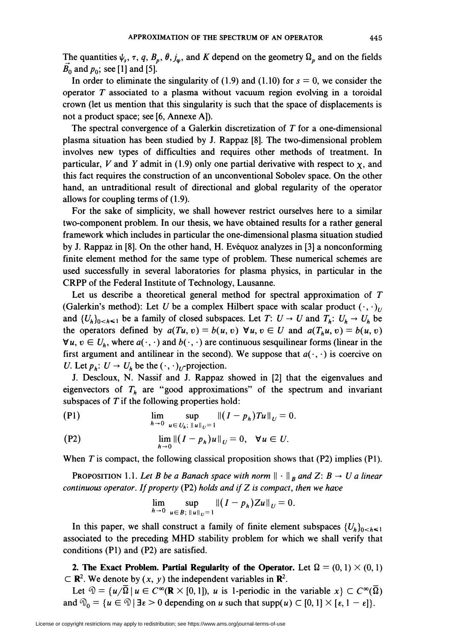The quantities  $\psi_s$ ,  $\tau$ ,  $q$ ,  $B_p$ ,  $\theta$ ,  $j_\varphi$ , and K depend on the geometry  $\Omega_p$  and on the fields  $B_0$  and  $p_0$ ; see [1] and [5].

In order to eliminate the singularity of (1.9) and (1.10) for  $s = 0$ , we consider the operator  $T$  associated to a plasma without vacuum region evolving in a toroidal crown (let us mention that this singularity is such that the space of displacements is not a product space; see [6, Annexe A]).

The spectral convergence of a Galerkin discretization of  $T$  for a one-dimensional plasma situation has been studied by J. Rappaz [8]. The two-dimensional problem involves new types of difficulties and requires other methods of treatment. In particular, V and Y admit in (1.9) only one partial derivative with respect to  $\chi$ , and this fact requires the construction of an unconventional Sobolev space. On the other hand, an untraditional result of directional and global regularity of the operator allows for coupling terms of (1.9).

For the sake of simplicity, we shall however restrict ourselves here to a similar two-component problem. In our thesis, we have obtained results for a rather general framework which includes in particular the one-dimensional plasma situation studied by J. Rappaz in [8]. On the other hand, H. Evéquoz analyzes in [3] a nonconforming finite element method for the same type of problem. These numerical schemes are used successfully in several laboratories for plasma physics, in particular in the CRPP of the Federal Institute of Technology, Lausanne.

Let us describe a theoretical general method for spectral approximation of T (Galerkin's method): Let U be a complex Hilbert space with scalar product  $(\cdot, \cdot)_U$ and  $\{U_h\}_{0\leq h\leq 1}$  be a family of closed subspaces. Let  $T: U \rightarrow U$  and  $T_h: U_h \rightarrow U_h$  be the operators defined by  $a(Tu, v) = b(u, v)$   $\forall u, v \in U$  and  $a(T_h u, v) = b(u, v)$  $\forall u, v \in U_h$ , where  $a(\cdot, \cdot)$  and  $b(\cdot, \cdot)$  are continuous sesquilinear forms (linear in the first argument and antilinear in the second). We suppose that  $a(\cdot, \cdot)$  is coercive on U. Let  $p_h: U \to U_h$  be the  $(\cdot, \cdot)_U$ -projection.

J. Descloux, N. Nassif and J. Rappaz showed in [2] that the eigenvalues and eigenvectors of  $T<sub>h</sub>$  are "good approximations" of the spectrum and invariant subspaces of  $T$  if the following properties hold:

$$
\text{(P1)} \qquad \lim_{h \to 0} \, \sup_{u \in U_h; \, \|u\|_{U} = 1} \|(I - p_h) T u\|_{U} = 0.
$$

$$
\lim_{h \to 0} \| (I - p_h)u \|_{U} = 0, \quad \forall u \in U.
$$

When  $T$  is compact, the following classical proposition shows that  $(P2)$  implies  $(P1)$ .

PROPOSITION 1.1. Let B be a Banach space with norm  $\|\cdot\|_B$  and Z: B  $\rightarrow U$  a linear continuous operator. If property (P2) holds and if  $Z$  is compact, then we have

$$
\lim_{h \to 0} \sup_{u \in B; \|u\|_{U} = 1} \| (I - p_{h}) Z u \|_{U} = 0.
$$

In this paper, we shall construct a family of finite element subspaces  $\{U_h\}_{0\leq h\leq 1}$ associated to the preceding MHD stability problem for which we shall verify that conditions (PI) and (P2) are satisfied.

2. The Exact Problem. Partial Regularity of the Operator. Let  $\Omega = (0,1) \times (0,1)$  $\subset \mathbb{R}^2$ . We denote by  $(x, y)$  the independent variables in  $\mathbb{R}^2$ .

Let  $\mathcal{D} = \{u/\overline{\Omega} \mid u \in C^{\infty}(\mathbb{R} \times [0,1]), u \text{ is 1-periodic in the variable } x\} \subset C^{\infty}(\overline{\Omega})$ and  $\mathcal{D}_0 = \{u \in \mathcal{D} \mid \exists \varepsilon > 0 \text{ depending on } u \text{ such that } \text{supp}(u) \subset [0,1] \times [\varepsilon, 1 - \varepsilon] \}.$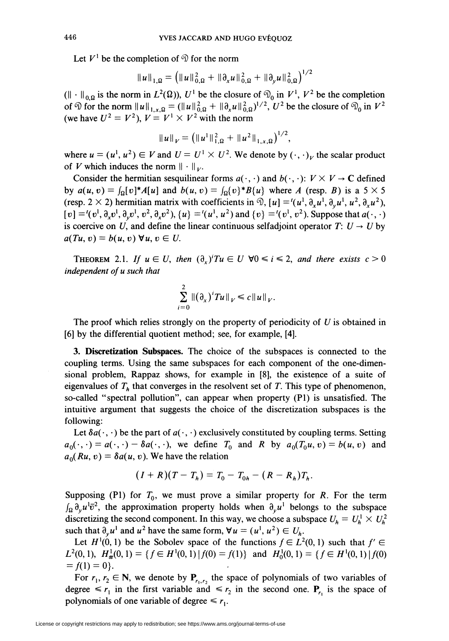Let  $V^1$  be the completion of  $\mathcal{D}$  for the norm

$$
||u||_{1,\Omega} = (||u||_{0,\Omega}^2 + ||\partial_x u||_{0,\Omega}^2 + ||\partial_y u||_{0,\Omega}^2)^{1/2}
$$

 $(\|\cdot\|_{0,\Omega})$  is the norm in  $L^2(\Omega)$ ,  $U^1$  be the closure of  $\mathcal{D}_0$  in  $V^1$ ,  $V^2$  be the completion of  $\mathfrak D$  for the norm  $||u||_{1,x,\Omega} = (||u||_{0,\Omega}^2 + ||\partial_x u||_{0,\Omega}^2)^{1/2}$ ,  $U^2$  be the closure of  $\mathfrak D_0$  in  $V^2$ (we have  $U^2 = V^2$ ),  $V = V^1 \times V^2$  with the norm

$$
||u||_V = (||u^1||_{1,\Omega}^2 + ||u^2||_{1,x,\Omega})^{1/2},
$$

where  $u = (u^1, u^2) \in V$  and  $U = U^1 \times U^2$ . We denote by  $(\cdot, \cdot)_V$  the scalar product of V which induces the norm  $|| \cdot ||_V$ .

Consider the hermitian sesquilinear forms  $a(\cdot, \cdot)$  and  $b(\cdot, \cdot): V \times V \rightarrow \mathbb{C}$  defined by  $a(u, v) = \int_{\Omega} [v]^*A[u]$  and  $b(u, v) = \int_{\Omega} (v)^*B(u)$  where A (resp. B) is a 5 × 5 (resp. 2  $\times$  2) hermitian matrix with coefficients in  $\mathcal{D}$ ,  $[u] = (u^1, \partial_x u^1, \partial_y u^1, u^2, \partial_x u^2)$ ,  $[v] = (v^1, \partial_x v^1, \partial_y v^1, v^2, \partial_x v^2), \{u\} = (u^1, u^2)$  and  $\{v\} = (v^1, v^2)$ . Suppose that  $a(\cdot, \cdot)$ is coercive on U, and define the linear continuous selfadjoint operator T:  $U \rightarrow U$  by  $a(Tu, v) = b(u, v)$   $\forall u, v \in U$ .

THEOREM 2.1. If  $u \in U$ , then  $(\partial_x)^i T u \in U$   $\forall 0 \le i \le 2$ , and there exists  $c > 0$ independent of u such that

$$
\sum_{i=0}^2 ||(\partial_x)^i T u||_V \leq c ||u||_V.
$$

The proof which relies strongly on the property of periodicity of  $U$  is obtained in [6] by the differential quotient method; see, for example, [4].

3. Discretization Subspaces. The choice of the subspaces is connected to the coupling terms. Using the same subspaces for each component of the one-dimensional problem, Rappaz shows, for example in [8], the existence of a suite of eigenvalues of  $T<sub>h</sub>$  that converges in the resolvent set of T. This type of phenomenon, so-called "spectral pollution", can appear when property (PI) is unsatisfied. The intuitive argument that suggests the choice of the discretization subspaces is the following:

Let  $\delta a(\cdot, \cdot)$  be the part of  $a(\cdot, \cdot)$  exclusively constituted by coupling terms. Setting  $a_0(\cdot, \cdot) = a(\cdot, \cdot) - \delta a(\cdot, \cdot)$ , we define  $T_0$  and R by  $a_0(T_0u, v) = b(u, v)$  and  $a_0(Ru, v) = \delta a(u, v)$ . We have the relation

$$
(I + R)(T - T_h) = T_0 - T_{0h} - (R - R_h)T_h.
$$

Supposing (P1) for  $T_0$ , we must prove a similar property for R. For the term  $\int_{\Omega} \partial_{\nu} u^1 \bar{v}^2$ , the approximation property holds when  $\partial_{\nu} u^1$  belongs to the subspace discretizing the second component. In this way, we choose a subspace  $U_h = U_h^1 \times U_h^2$ such that  $\partial_{\nu}u^1$  and  $u^2$  have the same form,  $\forall u = (u^1, u^2) \in U_h$ .

Let  $H^1(0,1)$  be the Sobolev space of the functions  $f \in L^2(0,1)$  such that  $f' \in$  $L^2(0,1)$ ,  $H^1_{\#}(0,1) = \{f \in H^1(0,1) | f(0) = f(1)\}\$ and  $H^1_0(0,1) = \{f \in H^1(0,1) | f(0)$  $= f(1) = 0$ .

For  $r_1, r_2 \in \mathbb{N}$ , we denote by  $P_{r_1, r_2}$  the space of polynomials of two variables of degree  $\leq r_1$  in the first variable and  $\leq r_2$  in the second one.  $P_{r_1}$  is the space of polynomials of one variable of degree  $\leq r_1$ .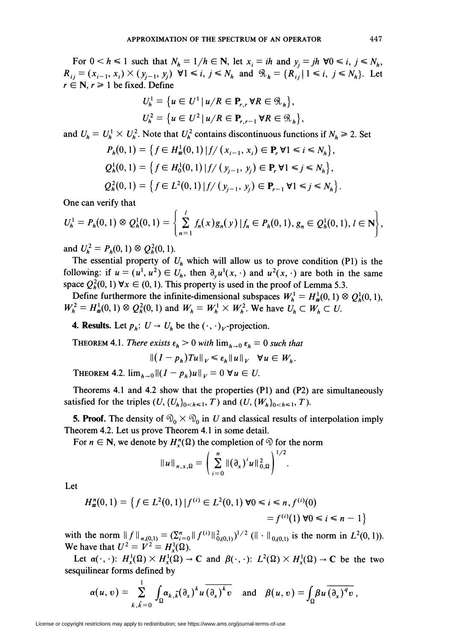For  $0 < h \le 1$  such that  $N_h = 1/h \in \mathbb{N}$ , let  $x_i = ih$  and  $y_i = jh$   $\forall 0 \le i, j \le N_h$ ,  $R_{ij} = (x_{i-1}, x_i) \times (y_{i-1}, y_i)$   $\forall 1 \le i, j \le N_h$  and  $\mathcal{R}_h = \{R_{ij} | 1 \le i, j \le N_h\}$ . Let  $r \in \mathbb{N}, r \geq 1$  be fixed. Define

$$
U_h^1 = \{ u \in U^1 | u/R \in \mathbf{P}_{r,r} \forall R \in \mathcal{R}_h \},
$$
  

$$
U_h^2 = \{ u \in U^2 | u/R \in \mathbf{P}_{r,r-1} \forall R \in \mathcal{R}_h \}
$$

and  $U_h = U_h^1 \times U_h^2$ . Note that  $U_h^2$  contains discontinuous functions if  $N_h \ge 2$ . Set

$$
P_h(0,1) = \{ f \in H^1_{\#}(0,1) | f/(x_{i-1}, x_i) \in \mathbf{P}, \forall 1 \le i \le N_h \},
$$
  
\n
$$
Q_h^1(0,1) = \{ f \in H_0^1(0,1) | f/(y_{j-1}, y_j) \in \mathbf{P}, \forall 1 \le j \le N_h \},
$$
  
\n
$$
Q_h^2(0,1) = \{ f \in L^2(0,1) | f/(y_{j-1}, y_j) \in \mathbf{P}_{r-1} \forall 1 \le j \le N_h \}
$$

One can verify that

$$
U_h^1 = P_h(0,1) \otimes Q_h^1(0,1) = \left\{ \sum_{n=1}^l f_n(x) g_n(y) | f_n \in P_h(0,1), g_n \in Q_h^1(0,1), l \in \mathbb{N} \right\},\
$$

and  $U_h^2 = P_h(0, 1) \otimes Q_h^2(0, 1)$ .

The essential property of  $U_h$  which will allow us to prove condition (P1) is the following: if  $u = (u^1, u^2) \in U_h$ , then  $\partial_y u^1(x, \cdot)$  and  $u^2(x, \cdot)$  are both in the same space  $Q_h^2(0, 1)$   $\forall x \in (0, 1)$ . This property is used in the proof of Lemma 5.3.

Define furthermore the infinite-dimensional subspaces  $W_h^1 = H^1_{\#}(0, 1) \otimes Q_h^1(0, 1)$ ,  $W_h^2 = H^1_{\#}(0, 1) \otimes Q_h^2(0, 1)$  and  $W_h = W_h^1 \times W_h^2$ . We have  $U_h \subset W_h \subset U$ .

**4. Results.** Let  $p_h: U \to U_h$  be the  $(\cdot, \cdot)_V$ -projection.

**THEOREM 4.1.** There exists  $\epsilon_h > 0$  with  $\lim_{h \to 0} \epsilon_h = 0$  such that

$$
||(I - ph)Tu||V \le \varepsilonh||u||V \quad \forall u \in Wh.
$$

THEOREM 4.2.  $\lim_{h\to 0}||(I - p_h)u||_V = 0$   $\forall u \in U$ .

Theorems 4.1 and 4.2 show that the properties (P1) and (P2) are simultaneously satisfied for the triples  $(U, {U_h}_{0 \le h \le 1}, T)$  and  $(U, {W_h}_{0 \le h \le 1}, T)$ .

**5. Proof.** The density of  $\mathcal{D}_0 \times \mathcal{D}_0$  in U and classical results of interpolation imply Theorem 4.2. Let us prove Theorem 4.1 in some detail.

For  $n \in \mathbb{N}$ , we denote by  $H_{r}^{n}(\Omega)$  the completion of  $\mathcal{D}$  for the norm

$$
||u||_{n,x,\Omega} = \left(\sum_{i=0}^n ||(\partial_x)^i u||_{0,\Omega}^2\right)^{1/2}.
$$

Let

$$
H_{\#}^{n}(0,1) = \left\{ f \in L^{2}(0,1) \, | \, f^{(i)} \in L^{2}(0,1) \, \forall 0 \leq i \leq n, f^{(i)}(0) \right\}
$$
\n
$$
= f^{(i)}(1) \, \forall 0 \leq i \leq n-1 \right\}
$$

with the norm  $|| f ||_{n,(0,1)} = (\sum_{i=0}^{n} || f^{(i)} ||_{0,(0,1)}^2)^{1/2} (|| \cdot ||_{0,(0,1)})$  is the norm in  $L^2(0,1)$ ). We have that  $U^2 = V^2 = H_x^1(\Omega)$ .

Let  $\alpha(\cdot, \cdot)$ :  $H_x^1(\Omega) \times H_x^1(\Omega) \to \mathbb{C}$  and  $\beta(\cdot, \cdot)$ :  $L^2(\Omega) \times H_x^1(\Omega) \to \mathbb{C}$  be the two sesquilinear forms defined by

$$
\alpha(u,v)=\sum_{k,\tilde{k}=0}^1\int_{\Omega}\alpha_{k,\tilde{k}}(\partial_x)^ku\overline{(\partial_x)^kv}\quad\text{and}\quad\beta(u,v)=\int_{\Omega}\beta u\overline{(\partial_x)^kv},
$$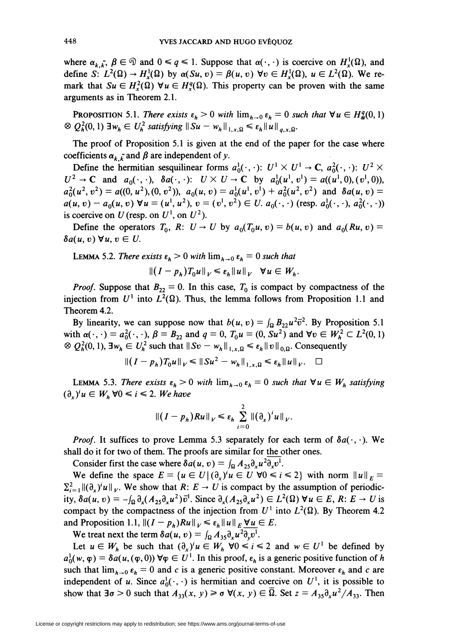where  $\alpha_{k,\tilde{k}}, \beta \in \mathcal{D}$  and  $0 \le q \le 1$ . Suppose that  $\alpha(\cdot, \cdot)$  is coercive on  $H_x^1(\Omega)$ , and define S:  $L^2(\Omega) \to H^1_x(\Omega)$  by  $\alpha(Su, v) = \beta(u, v)$   $\forall v \in H^1_x(\Omega)$ ,  $u \in L^2(\Omega)$ . We remark that  $Su \in H_x^2(\Omega)$   $\forall u \in H_x^2(\Omega)$ . This property can be proven with the same arguments as in Theorem 2.1.

**PROPOSITION** 5.1. There exists  $\varepsilon_h > 0$  with  $\lim_{h \to 0} \varepsilon_h = 0$  such that  $\forall u \in H^q_{\#}(0,1)$  $\otimes Q_h^2(0,1)$   $\exists w_h \in U_h^2$  satisfying  $||Su - w_h||_{1,x,\Omega} \leq \varepsilon_h ||u||_{q,x,\Omega}$ .

The proof of Proposition 5.1 is given at the end of the paper for the case where coefficients  $\alpha_{k,k}$  and  $\beta$  are independent of y.

Define the hermitian sesquilinear forms  $a_0^1(\cdot, \cdot)$ :  $U^1 \times U^1 \to \mathbb{C}$ ,  $a_0^2(\cdot, \cdot)$ :  $U^2 \times$  $U^2 \to \mathbb{C}$  and  $a_0(\cdot, \cdot)$ ,  $\delta a(\cdot, \cdot)$ :  $U \times U \to \mathbb{C}$  by  $a_0^1(u^1, v^1) = a((u^1, 0), (v^1, 0)),$  $a_0^2(u^2, v^2) = a((0, u^2), (0, v^2)), a_0(u, v) = a_0^1(u^1, v^1) + a_0^2(u^2, v^2)$  and  $\delta a(u, v) =$  $a(u, v) - a_0(u, v)$   $\forall u = (u^1, u^2), v = (v^1, v^2) \in U$ .  $a_0(\cdot, \cdot)$  (resp.  $a_0^1(\cdot, \cdot), a_0^2(\cdot, \cdot)$ ) is coercive on U (resp. on  $U^1$ , on  $U^2$ ).

Define the operators  $T_0$ , R:  $U \rightarrow U$  by  $a_0(T_0u, v) = b(u, v)$  and  $a_0(Ru, v) =$  $\delta a(u, v)$   $\forall u, v \in U$ .

**LEMMA** 5.2. There exists  $\epsilon_h > 0$  with  $\lim_{h \to 0} \epsilon_h = 0$  such that  $||(I - p_h)T_0u||_V \le \varepsilon_h ||u||_V \quad \forall u \in W_h.$ 

*Proof.* Suppose that  $B_{22} = 0$ . In this case,  $T_0$  is compact by compactness of the injection from  $U^1$  into  $L^2(\Omega)$ . Thus, the lemma follows from Proposition 1.1 and Theorem 4.2.

By linearity, we can suppose now that  $b(u, v) = \int_{\Omega} B_{22} u^2 \bar{v}^2$ . By Proposition 5.1 with  $\alpha(\cdot, \cdot) = a_0^2(\cdot, \cdot)$ ,  $\beta = B_{22}$  and  $q = 0$ ,  $T_0 u = (0, S u^2)$  and  $\forall v \in W_h^2 \subset L^2(0, 1)$  $\otimes Q_h^2(0,1)$ ,  $\exists w_h \in U_h^2$  such that  $||Sv - w_h||_{1,x,\Omega} \le \varepsilon_h ||v||_{0,\Omega}$ . Consequently

$$
\| (I - p_h) T_0 u \|_V \le \| S u^2 - w_h \|_{1, x, \Omega} \le \varepsilon_h \| u \|_V. \quad \Box
$$

LEMMA 5.3. There exists  $\varepsilon_h > 0$  with  $\lim_{h \to 0} \varepsilon_h = 0$  such that  $\forall u \in W_h$  satisfying  $(\partial_x)^i u \in W_h$   $\forall 0 \le i \le 2$ . We have

$$
\left\|\left(I-p_h\right)Ru\right\|_V\leqslant \varepsilon_h\sum_{i=0}^2\left\|\left(\partial_x\right)^i u\right\|_V.
$$

*Proof.* It suffices to prove Lemma 5.3 separately for each term of  $\delta a(\cdot, \cdot)$ . We shall do it for two of them. The proofs are similar for the other ones.

Consider first the case where  $\delta a(u, v) = \int_{\Omega} A_{25} \partial_{x} u^{2} \partial_{x} v^{1}$ .

We define the space  $E = \{u \in U | (\partial_x)^i u \in U \; \forall 0 \leq i \leq 2\}$  with norm  $||u||_E =$  $\Sigma_{i=1}^2 ||(\partial_x)^i u||_{V}$ . We show that  $R: E \to U$  is compact by the assumption of periodicity,  $\delta a(u, v) = -\int_{\Omega} \partial_x (A_{25} \partial_x u^2) \overline{v}^1$ . Since  $\partial_x (A_{25} \partial_x u^2) \in L^2(\Omega)$   $\forall u \in E$ ,  $R: E \to U$  is compact by the compactness of the injection from  $U^1$  into  $L^2(\Omega)$ . By Theorem 4.2 and Proposition 1.1,  $||(I - p_h)Ru||_V \le \varepsilon_h ||u||_E \forall u \in E$ .

We treat next the term  $\delta a(u, v) = \int_{\Omega} A_{35} \partial_x u^2 \partial_y v^1$ .

Let  $u \in W_h$  be such that  $(\partial_x)^i u \in W_h$   $\forall 0 \le i \le 2$  and  $w \in U^1$  be defined by  $a_0^1(w, \varphi) = \delta a(u, (\varphi, 0))$   $\forall \varphi \in U^1$ . In this proof,  $\varepsilon_h$  is a generic positive function of h such that  $\lim_{h\to 0} \varepsilon_h = 0$  and c is a generic positive constant. Moreover  $\varepsilon_h$  and c are independent of u. Since  $a_0^1(\cdot, \cdot)$  is hermitian and coercive on  $U^1$ , it is possible to show that  $\exists \sigma > 0$  such that  $A_{33}(x, y) \ge \sigma \ \forall (x, y) \in \overline{\Omega}$ . Set  $z = A_{35} \partial_x u^2 / A_{33}$ . Then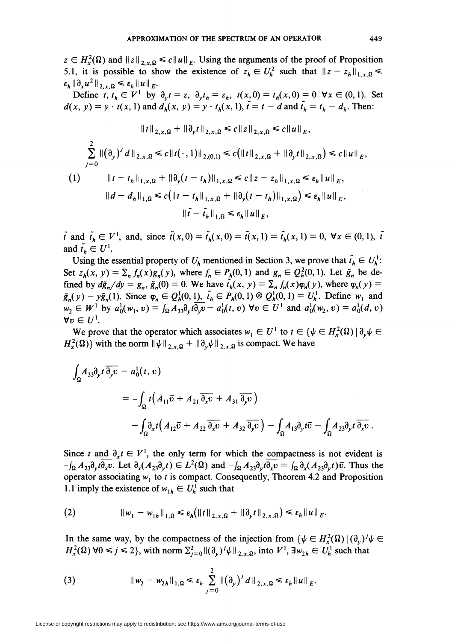$z \in H_x^2(\Omega)$  and  $||z||_{2,x,\Omega} \le c||u||_E$ . Using the arguments of the proof of Proposition 5.1, it is possible to show the existence of  $z_h \in U_h^2$  such that  $||z - z_h||_{1,x,\Omega} \le$  $\varepsilon_h \|\partial_x u^2\|_{2,x,\Omega} \leq \varepsilon_h \|u\|_E.$ 

Define  $t, t_h \in V^1$  by  $\partial_v t = z$ ,  $\partial_v t_h = z_h$ ,  $t(x, 0) = t_h(x, 0) = 0$   $\forall x \in (0, 1)$ . Set  $d(x, y) = y \cdot t(x, 1)$  and  $d_h(x, y) = y \cdot t_h(x, 1), \tilde{t} = t-d$  and  $\tilde{t}_h = t_h - d_h$ . Then:

$$
||t||_{2,x,\Omega} + ||\partial_y t||_{2,x,\Omega} \le c ||z||_{2,x,\Omega} \le c ||u||_E,
$$
  
\n
$$
\sum_{j=0}^{2} ||(\partial_y)^j d||_{2,x,\Omega} \le c ||t(\cdot,1)||_{2,(0,1)} \le c (||t||_{2,x,\Omega} + ||\partial_y t||_{2,x,\Omega}) \le c ||u||_E,
$$
  
\n(1) 
$$
||t - t_h||_{1,x,\Omega} + ||\partial_y (t - t_h)||_{1,x,\Omega} \le c ||z - z_h||_{1,x,\Omega} \le \epsilon_h ||u||_E,
$$
  
\n
$$
||d - d_h||_{1,\Omega} \le c (||t - t_h||_{1,x,\Omega} + ||\partial_y (t - t_h)||_{1,x,\Omega}) \le \epsilon_h ||u||_E,
$$
  
\n
$$
||\tilde{t} - \tilde{t}_h||_{1,\Omega} \le \epsilon_h ||u||_E,
$$

 $\tilde{t}$  and  $\tilde{t}_h \in V^1$ , and, since  $\tilde{t}(x,0) = \tilde{t}_h(x,0) = \tilde{t}(x, 1) = \tilde{t}_h(x, 1) = 0$ ,  $\forall x \in (0,1)$ ,  $\tilde{t}$ and  $\tilde{t}_h \in U^1$ .

Using the essential property of  $U_h$  mentioned in Section 3, we prove that  $\tilde{t}_h \in U_h^1$ : Set  $z_h(x, y) = \sum_n f_n(x)g_n(y)$ , where  $f_n \in P_h(0,1)$  and  $g_n \in Q_h^2(0,1)$ . Let  $\tilde{g}_n$  be defined by  $d\tilde{g}_n/dy = g_n$ ,  $\tilde{g}_n(0) = 0$ . We have  $\tilde{t}_n(x, y) = \sum_n f_n(x)\varphi_n(y)$ , where  $\varphi_n(y) =$  $\tilde{g}_n(y) - y\tilde{g}_n(1)$ . Since  $\varphi_n \in Q_h^1(0, 1), \ \tilde{t}_h \in P_h(0, 1) \otimes Q_h^1(0, 1) = U_h^1$ . Define  $w_1$  and  $w_2 \in W^1$  by  $a_0^1(w_1, v) = \int_{\Omega} A_{33} \partial_v t \overline{\partial_v v} - a_0^1(t, v)$   $\forall v \in U^1$  and  $a_0^1(w_2, v) = a_0^1(d, v)$  $\forall v \in U^1$ .

We prove that the operator which associates  $w_1 \in U^1$  to  $t \in {\varphi \in H^2_{\kappa}(\Omega) | \partial_{\nu} \psi \in \Omega}$  $H_x^2(\Omega)$  with the norm  $\|\psi\|_{2,x,\Omega} + \|\partial_\nu\psi\|_{2,x,\Omega}$  is compact. We have

$$
\int_{\Omega} A_{33} \partial_{y} t \overline{\partial_{y} v} - a_{0}^{1}(t, v)
$$
\n
$$
= - \int_{\Omega} t (A_{11} \overline{v} + A_{21} \overline{\partial_{x} v} + A_{31} \overline{\partial_{y} v})
$$
\n
$$
- \int_{\Omega} \partial_{x} t (A_{12} \overline{v} + A_{22} \overline{\partial_{x} v} + A_{32} \overline{\partial_{y} v}) - \int_{\Omega} A_{13} \partial_{y} t \overline{v} - \int_{\Omega} A_{23} \partial_{y} t \overline{\partial_{x} v}.
$$

Since t and  $\partial_{x}t \in V^{1}$ , the only term for which the compactness is not evident is  $-\int_{\Omega} A_{23}\partial_{\nu}t\overline{\partial_{x}v}$ . Let  $\partial_{x}(A_{23}\partial_{\nu}t) \in L^{2}(\Omega)$  and  $-\int_{\Omega} A_{23}\partial_{\nu}t\overline{\partial_{x}v} = \int_{\Omega}\partial_{x}(A_{23}\partial_{\nu}t)\overline{v}$ . Thus the operator associating  $w_1$  to t is compact. Consequently, Theorem 4.2 and Proposition 1.1 imply the existence of  $w_{1h} \in U_h^1$  such that

$$
(2) \t\t\t ||w_1 - w_{1h}||_{1,\Omega} \le \varepsilon_h (||t||_{2,x,\Omega} + ||\partial_y t||_{2,x,\Omega}) \le \varepsilon_h ||u||_E.
$$

In the same way, by the compactness of the injection from  ${\psi \in H_x^2(\Omega) | (\partial_v)^j \psi \in}$  $H_x^2(\Omega)$   $\forall 0 \le j \le 2$ , with norm  $\Sigma_{j=0}^2 \|\theta_v\|^j \psi\|_{2,x,\Omega}$ , into  $V^1$ ,  $\exists w_{2h} \in U_h^1$  such that

(3) 
$$
\|w_2 - w_{2h}\|_{1,\Omega} \leq \varepsilon_h \sum_{j=0}^2 \|(\partial_y)^j d\|_{2,x,\Omega} \leq \varepsilon_h \|u\|_E.
$$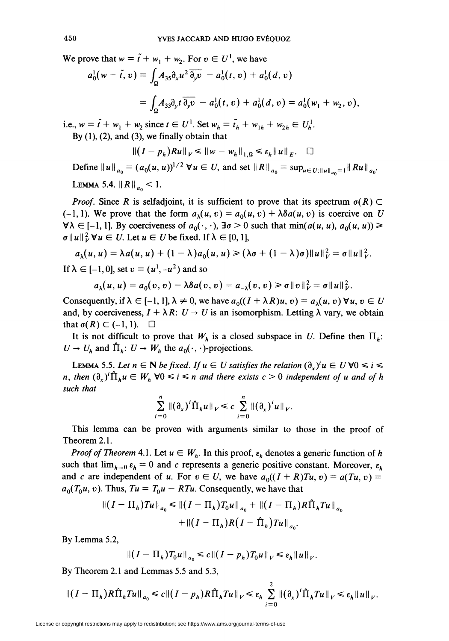We prove that  $w = \tilde{t} + w_1 + w_2$ . For  $v \in U^1$ , we have

$$
a_0^1(w - \tilde{t}, v) = \int_{\Omega} A_{35} \partial_x u^2 \overline{\partial_y v} - a_0^1(t, v) + a_0^1(d, v)
$$
  
= 
$$
\int_{\Omega} A_{33} \partial_y t \overline{\partial_y v} - a_0^1(t, v) + a_0^1(d, v) = a_0^1(w_1 + w_2, v),
$$

i.e.,  $w = \tilde{t} + w_1 + w_2$  since  $t \in U^1$ . Set  $w_h = \tilde{t}_h + w_{1h} + w_{2h} \in U_h^1$ . By  $(1)$ ,  $(2)$ , and  $(3)$ , we finally obtain that

$$
||(I - p_h)Ru||_V \le ||w - w_h||_{1,\Omega} \le \varepsilon_h ||u||_E. \quad \Box
$$

Define  $||u||_{a_0} = (a_0(u, u))^{1/2}$   $\forall u \in U$ , and set  $||R||_{a_0} = \sup_{u \in U: ||u||_{a_0} = 1} ||Ru||_{a_0}$ . LEMMA 5.4.  $\|R\|_{a_0}$  < 1.

*Proof.* Since R is selfadjoint, it is sufficient to prove that its spectrum  $\sigma(R) \subset$ (-1, 1). We prove that the form  $a_{\lambda}(u, v) = a_0(u, v) + \lambda \delta a(u, v)$  is coercive on U  $\forall \lambda \in [-1,1]$ . By coerciveness of  $a_0(\cdot, \cdot)$ ,  $\exists \sigma > 0$  such that  $\min(a(u, u), a_0(u, u)) \geq$  $\sigma ||u||_V^2 \forall u \in U$ . Let  $u \in U$  be fixed. If  $\lambda \in [0,1],$ 

$$
a_{\lambda}(u, u) = \lambda a(u, u) + (1 - \lambda) a_0(u, u) \ge (\lambda \sigma + (1 - \lambda) \sigma) ||u||_V^2 = \sigma ||u||_V^2.
$$
  
If  $\lambda \in [-1, 0]$ , set  $v = (u^1, -u^2)$  and so

$$
a_{\lambda}(u, u) = a_0(v, v) - \lambda \delta a(v, v) = a_{-\lambda}(v, v) \geq \sigma ||v||^2_V = \sigma ||u||^2_V.
$$

Consequently, if  $\lambda \in [-1, 1]$ ,  $\lambda \neq 0$ , we have  $a_0((I + \lambda R)u, v) = a_\lambda(u, v) \forall u, v \in U$ and, by coerciveness,  $I + \lambda R$ :  $U \rightarrow U$  is an isomorphism. Letting  $\lambda$  vary, we obtain that  $\sigma(R) \subset (-1,1)$ .  $\Box$ 

It is not difficult to prove that  $W_h$  is a closed subspace in U. Define then  $\Pi_h$ :  $U \rightarrow U_h$  and  $\prod_h: U \rightarrow W_h$  the  $a_0(\cdot, \cdot)$ -projections.

LEMMA 5.5. Let  $n \in \mathbb{N}$  be fixed. If  $u \in U$  satisfies the relation  $(\partial_x)^i u \in U$   $\forall 0 \leq i \leq$ n, then  $(\partial_x)^i \hat{\Pi}_h u \in W_h$   $\forall 0 \leq i \leq n$  and there exists  $c > 0$  independent of u and of h such that

$$
\sum_{i=0}^n \|(\partial_x)^i \hat{\Pi}_h u\|_V \leq c \sum_{i=0}^n \|(\partial_x)^i u\|_V.
$$

This lemma can be proven with arguments similar to those in the proof of Theorem 2.1.

*Proof of Theorem* 4.1. Let  $u \in W_h$ . In this proof,  $\varepsilon_h$  denotes a generic function of h such that  $\lim_{h\to 0} \varepsilon_h = 0$  and c represents a generic positive constant. Moreover,  $\varepsilon_h$ and c are independent of u. For  $v \in U$ , we have  $a_0((I + R)Tu, v) = a(Tu, v) =$  $a_0(T_0u, v)$ . Thus,  $Tu = T_0u - RTu$ . Consequently, we have that

$$
\| (I - \Pi_h) T u \|_{a_0} \le \| (I - \Pi_h) T_0 u \|_{a_0} + \| (I - \Pi_h) R \hat{\Pi}_h T u \|_{a_0}
$$
  
+ 
$$
\| (I - \Pi_h) R (I - \hat{\Pi}_h) T u \|_{a_0}.
$$

By Lemma 5.2,

$$
\|(I-\Pi_h)T_0u\|_{a_0} \le c\|(I-p_h)T_0u\|_{V} \le \varepsilon_h\|u\|_{V}.
$$

By Theorem 2.1 and Lemmas 5.5 and 5.3,

$$
\| (I-\Pi_h)R\hat{\Pi}_h T u\|_{a_0} \leq c \| (I-p_h)R\hat{\Pi}_h T u\|_{V} \leq \varepsilon_h \sum_{i=0}^2 \|(\partial_x)^i \hat{\Pi}_h T u\|_{V} \leq \varepsilon_h \|u\|_{V}.
$$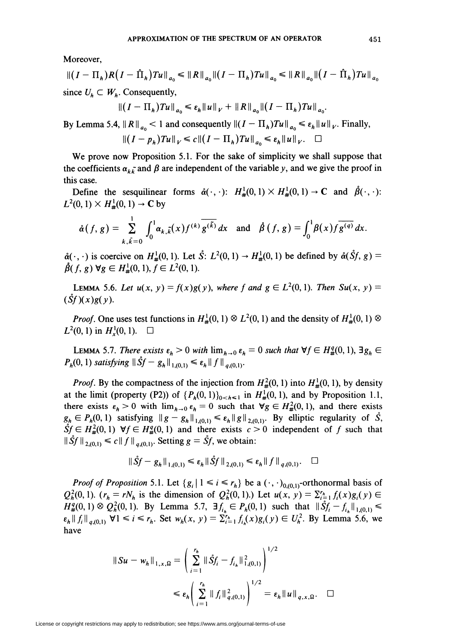Moreover,

$$
\left\|\left(I-\Pi_h\right)R\left(I-\hat{\Pi}_h\right)Tu\right\|_{a_0} \leq \left\|R\right\|_{a_0}\left\|\left(I-\Pi_h\right)Tu\right\|_{a_0} \leq \left\|R\right\|_{a_0}\left\|\left(I-\hat{\Pi}_h\right)Tu\right\|_{a_0}
$$
  
since  $U_h \subset W_h$ . Consequently,

$$
\| (I - \Pi_h) T u \|_{a_0} \le \varepsilon_h \| u \|_V + \| R \|_{a_0} \| (I - \Pi_h) T u \|_{a_0}.
$$

By Lemma 5.4,  $||R||_{a_0} < 1$  and consequently  $||(I - \Pi_h)Tu||_{a_0} \le \varepsilon_h ||u||_V$ . Finally,  $||(I - p_h)Tu||_V \le c||(I - \Pi_h)Tu||_a \le \epsilon_h ||u||_V.$ 

We prove now Proposition 5.1. For the sake of simplicity we shall suppose that the coefficients  $\alpha_{k\vec{k}}$  and  $\beta$  are independent of the variable y, and we give the proof in this case.

Define the sesquilinear forms  $\dot{\alpha}(\cdot, \cdot)$ :  $H^1_{\#}(0, 1) \times H^1_{\#}(0, 1) \to \mathbb{C}$  and  $\dot{\beta}(\cdot, \cdot)$ :  $L^2(0,1) \times H^1_{\#}(0,1) \to \mathbb{C}$  by

$$
\dot{\alpha}(f,g) = \sum_{k,\tilde{k}=0}^{1} \int_{0}^{1} \alpha_{k,\tilde{k}}(x) f^{(k)} \overline{g^{(\tilde{k})}} dx \text{ and } \dot{\beta}(f,g) = \int_{0}^{1} \beta(x) f \overline{g^{(q)}} dx.
$$

 $\mathring{\alpha}(\cdot,\cdot)$  is coercive on  $H^1_{\#}(0,1)$ . Let  $\mathring{S}: L^2(0,1) \to H^1_{\#}(0,1)$  be defined by  $\mathring{\alpha}(\mathring{S}f, g)$  =  $\beta(f, g) \forall g \in H^1_{\#}(0, 1), f \in L^2(0, 1).$ 

LEMMA 5.6. Let  $u(x, y) = f(x)g(y)$ , where f and  $g \in L^2(0, 1)$ . Then  $Su(x, y) =$  $(\hat{S}f)(x)g(y).$ 

*Proof.* One uses test functions in  $H^1_{\#}(0, 1) \otimes L^2(0, 1)$  and the density of  $H^1_{\#}(0, 1) \otimes$  $L^2(0, 1)$  in  $H^1(0, 1)$ .  $\Box$ 

**LEMMA** 5.7. There exists  $\varepsilon_h > 0$  with  $\lim_{h \to 0} \varepsilon_h = 0$  such that  $\forall f \in H^q_{\#}(0, 1)$ ,  $\exists g_h \in$  $P_h(0, 1)$  satisfying  $\|\r{S}f - g_h\|_{1,(0,1)} \leq \varepsilon_h \|f\|_{q,(0,1)}.$ 

*Proof.* By the compactness of the injection from  $H^2_{\#}(0, 1)$  into  $H^1_{\#}(0, 1)$ , by density at the limit (property (P2)) of  $\{P_h(0, 1)\}_{0 \le h \le 1}$  in  $H^1_{\#}(0, 1)$ , and by Proposition 1.1, there exists  $\epsilon_h > 0$  with  $\lim_{h \to 0} \epsilon_h = 0$  such that  $\forall g \in H^2_{\#}(0,1)$ , and there exists  $g_h \in P_h(0, 1)$  satisfying  $||g - g_h||_{1,(0,1)} \le \varepsilon_h ||g||_{2,(0,1)}$ . By elliptic regularity of  $\dot{S}$ ,  $\mathring{S}f \in H^2_{\#}(0,1)$   $\forall f \in H^q_{\#}(0,1)$  and there exists  $c > 0$  independent of f such that  $\|\hat{S}f\|_{2,(0,1)} \le c \|f\|_{q,(0,1)}$ . Setting  $g = \hat{S}f$ , we obtain:

$$
\|\check{S}f - g_h\|_{1,(0,1)} \le \varepsilon_h \|\check{S}f\|_{2,(0,1)} \le \varepsilon_h \|f\|_{q,(0,1)}. \quad \Box
$$

*Proof of Proposition* 5.1. Let  $\{g_i | 1 \le i \le r_h\}$  be a  $(\cdot, \cdot)_{0,(0,1)}$ -orthonormal basis of  $Q_h^2(0, 1)$ .  $(r_h = rN_h$  is the dimension of  $Q_h^2(0, 1)$ .) Let  $u(x, y) = \sum_{i=1}^{r_h} f_i(x)g_i(y)$  $H_4^q(0, 1) \otimes Q_h^2(0, 1)$ . By Lemma 5.7,  $\exists f_{i_h} \in P_h(0, 1)$  such that  $\|\mathring{S}f_i - f_{i_h}\|_{1,(0,1)} \le \epsilon_h \|f_i\|_{q,(0,1)}$   $\forall 1 \le i \le r_h$ . Set  $w_h(x, y) = \sum_{i=1}^{r_h} f_{i_h}(x)g_i(y) \in U_h^2$ . By Lemma 5.6, we have

$$
\begin{aligned} \|Su - w_h\|_{1,x,\Omega} &= \left(\sum_{i=1}^{r_h} \|\mathring{S}f_i - f_{i_h}\|_{1,(0,1)}^2\right)^{1/2} \\ &\leq \varepsilon_h \left(\sum_{i=1}^{r_h} \|f_i\|_{q,(0,1)}^2\right)^{1/2} = \varepsilon_h \|u\|_{q,x,\Omega}. \quad \Box \end{aligned}
$$